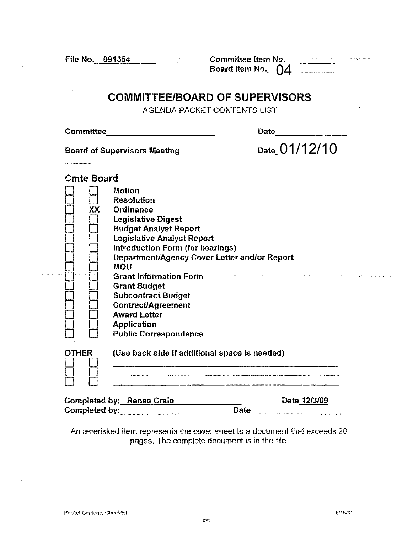File No. 091354 Committee Item No. ----- Board Item **No.\_2=\_,,0....\_ \_\_ \_** 

## **COMMITTEE/BOARD OF SUPERVISORS**

AGENDA PACKET CONTENTS UST

Committee, \_\_\_\_\_\_\_\_\_ \_ Date -------

Board of Supervisors Meeting

 $Date_0 1/12/10$ 

## Cmte Board

|               | <b>Motion</b>                                 |                       |
|---------------|-----------------------------------------------|-----------------------|
|               | <b>Resolution</b>                             |                       |
| XX            | Ordinance                                     |                       |
|               | <b>Legislative Digest</b>                     |                       |
|               | <b>Budget Analyst Report</b>                  |                       |
|               | <b>Legislative Analyst Report</b>             |                       |
|               | Introduction Form (for hearings)              |                       |
|               | Department/Agency Cover Letter and/or Report  |                       |
|               | <b>MOU</b>                                    |                       |
|               | <b>Grant Information Form</b>                 |                       |
|               | <b>Grant Budget</b>                           |                       |
|               | <b>Subcontract Budget</b>                     |                       |
|               |                                               |                       |
|               | <b>Contract/Agreement</b>                     |                       |
|               | <b>Award Letter</b>                           |                       |
|               | <b>Application</b>                            |                       |
|               | <b>Public Correspondence</b>                  |                       |
| <b>OTHER</b>  | (Use back side if additional space is needed) |                       |
|               |                                               |                       |
| Completed him | Rongo Croic                                   | Nato 1 <i>71</i> 3/00 |

Completed by: Renee Craig Date 1213/09  $\mathbf{Complete}\ \mathbf{by:}\ \blacksquare$ 

An asterisked item represents the cover sheet to a document that exceeds 20 pages. The complete document is in the file.

**TO A SUBARU CON DURANT REPORT OF THE**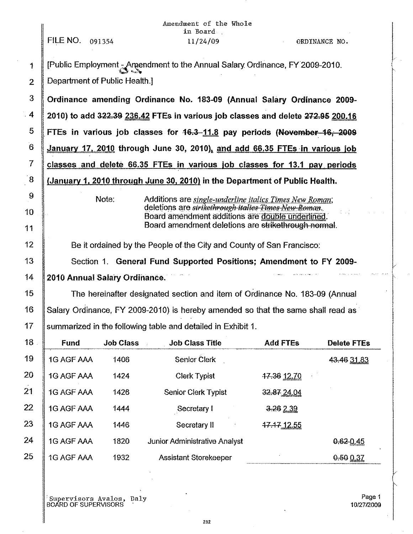|                |                                                                              |                               | Amendment of the Whole<br>in Board                                                                       |                 |                    |  |  |  |  |  |  |
|----------------|------------------------------------------------------------------------------|-------------------------------|----------------------------------------------------------------------------------------------------------|-----------------|--------------------|--|--|--|--|--|--|
|                | FILE NO. 091354                                                              |                               | 11/24/09                                                                                                 |                 | ORDINANCE NO.      |  |  |  |  |  |  |
| 1              | [Public Employment 3 Amendment to the Annual Salary Ordinance, FY 2009-2010. |                               |                                                                                                          |                 |                    |  |  |  |  |  |  |
| $\overline{2}$ |                                                                              | Department of Public Health.] |                                                                                                          |                 |                    |  |  |  |  |  |  |
| $\mathfrak{F}$ |                                                                              |                               | Ordinance amending Ordinance No. 183-09 (Annual Salary Ordinance 2009-                                   |                 |                    |  |  |  |  |  |  |
| 4              |                                                                              |                               | 2010) to add 322.39 236.42 FTEs in various job classes and delete 272.95 200.16                          |                 |                    |  |  |  |  |  |  |
| 5              |                                                                              |                               | FTEs in various job classes for 46.3-11.8 pay periods (November 16, 2009                                 |                 |                    |  |  |  |  |  |  |
| 6              |                                                                              |                               | January 17, 2010 through June 30, 2010), and add 66.35 FTEs in various job                               |                 |                    |  |  |  |  |  |  |
| $\overline{7}$ | classes and delete 66.35 FTEs in various job classes for 13.1 pay periods    |                               |                                                                                                          |                 |                    |  |  |  |  |  |  |
| $\sqrt{8}$     |                                                                              |                               | (January 1, 2010 through June 30, 2010) in the Department of Public Health.                              |                 |                    |  |  |  |  |  |  |
| 9              |                                                                              | Note:                         | Additions are <i>single-underline italics Times New Roman</i> ;                                          |                 |                    |  |  |  |  |  |  |
| 10             |                                                                              |                               | deletions are strikethrough italies Times New Roman.<br>Board amendment additions are double underlined. |                 |                    |  |  |  |  |  |  |
| 11             | Board amendment deletions are strikethrough normal.                          |                               |                                                                                                          |                 |                    |  |  |  |  |  |  |
| 12             | Be it ordained by the People of the City and County of San Francisco:        |                               |                                                                                                          |                 |                    |  |  |  |  |  |  |
| 13             |                                                                              |                               | Section 1. General Fund Supported Positions; Amendment to FY 2009-                                       |                 |                    |  |  |  |  |  |  |
| 14             |                                                                              | 2010 Annual Salary Ordinance. |                                                                                                          |                 |                    |  |  |  |  |  |  |
| 15             |                                                                              |                               | The hereinafter designated section and item of Ordinance No. 183-09 (Annual                              |                 |                    |  |  |  |  |  |  |
| 16             |                                                                              |                               | Salary Ordinance, FY 2009-2010) is hereby amended so that the same shall read as                         |                 |                    |  |  |  |  |  |  |
| 17             |                                                                              |                               | summarized in the following table and detailed in Exhibit 1.                                             |                 |                    |  |  |  |  |  |  |
| 18             | Fund                                                                         | <b>Job Class</b>              | <b>Job Class Title</b>                                                                                   | <b>Add FTEs</b> | <b>Delete FTEs</b> |  |  |  |  |  |  |
| 19             | 1G AGF AAA                                                                   | 1406                          | <b>Senior Clerk</b>                                                                                      |                 | 43.46 31.83        |  |  |  |  |  |  |
| 20             | 1G AGF AAA                                                                   | 1424                          | <b>Clerk Typist</b>                                                                                      | 17.36 12.70     |                    |  |  |  |  |  |  |
| 21             | 1G AGF AAA                                                                   | 1426                          | <b>Senior Clerk Typist</b>                                                                               | 32.87.24.04     |                    |  |  |  |  |  |  |
| 22             | 1G AGF AAA                                                                   | 1444                          | Secretary I                                                                                              | 3.262.39        |                    |  |  |  |  |  |  |
| 23             | 1G AGF AAA                                                                   | 1446                          | Secretary II                                                                                             | 47.47 12.55     |                    |  |  |  |  |  |  |
| 24             | 1G AGF AAA                                                                   | 1820                          | <b>Junior Administrative Analyst</b>                                                                     |                 | 0.620.45           |  |  |  |  |  |  |
| 25             | 1G AGF AAA                                                                   | 1932                          | <b>Assistant Storekeeper</b>                                                                             |                 | 0.500.37           |  |  |  |  |  |  |

'Supervisors Avalos, Daly I BOARD OF SUPERVISORS

I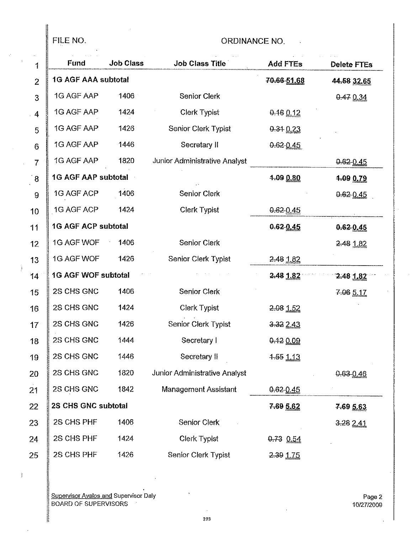# FILE NO. CRDINANCE NO.

| $\mathbf{1}$    | Fund                       | <b>Job Class</b> | <b>Job Class Title</b>        | <b>Add FTEs</b>         | <b>Delete FTEs</b> |
|-----------------|----------------------------|------------------|-------------------------------|-------------------------|--------------------|
| $\overline{2}$  | <b>1G AGF AAA subtotal</b> |                  |                               | 70.66-51.68             | 44.58 32.65        |
| 3               | 1G AGF AAP                 | 1406             | <b>Senior Clerk</b>           |                         | 0.470.34           |
| 4               | 1G AGF AAP                 | 1424             | Clerk Typist                  | $0.16$ 0.12             |                    |
| 5               | 1G AGF AAP                 | 1426             | Senior Clerk Typist           | 0.340.23                |                    |
| $6\phantom{1}$  | 1G AGF AAP                 | 1446             | Secretary II                  | $0.62 - 0.45$           |                    |
| $\overline{7}$  | 1G AGF AAP                 | 1820             | Junior Administrative Analyst |                         | 0.62 0.45          |
| 8               | <b>1G AGF AAP subtotal</b> |                  |                               | 4.09 0.80               | 4.09 0.79          |
| 9               | 1G AGF ACP                 | 1406             | <b>Senior Clerk</b>           |                         | 0.62 0.45          |
| 10              | 1G AGF ACP                 | 1424             | <b>Clerk Typist</b>           | $0.62 - 0.45$           |                    |
| 11              | <b>1G AGF ACP subtotal</b> |                  |                               | $0.62 - 0.45$           | $0.62 - 0.45$      |
| 12              | 1G AGF WOF                 | 1406             | <b>Senior Clerk</b>           |                         | 2.48 1.82          |
| 13              | 1G AGF WOF                 | 1426             | Senior Clerk Typist           | $2.48$ $1.82$           |                    |
| 14              | <b>1G AGF WOF subtotal</b> |                  |                               | $2.48$ 1.82             | $2.48$ $1.82$      |
| 15              | 2S CHS GNC                 | 1406             | <b>Senior Clerk</b>           |                         | 7.06 5.17          |
| 16              | 2S CHS GNC                 | 1424             | <b>Clerk Typist</b>           | $2.08$ $1.52$           |                    |
| 17 <sup>°</sup> | 2S CHS GNC                 | 1426             | <b>Senior Clerk Typist</b>    | 3.322.43                |                    |
| 18              | 2S CHS GNC                 | 1444             | Secretary I                   | 0.12009                 |                    |
| 19              | 2S CHS GNC                 | 1446             | Secretary II                  | $4.55 \underline{1.13}$ |                    |
| 20              | 2S CHS GNC                 | 1820             | Junior Administrative Analyst |                         | 0.63-0.46          |
| 21              | 2S CHS GNC                 | 1842             | <b>Management Assistant</b>   | $0.62 - 0.45$           |                    |
| 22              | 2S CHS GNC subtotal        |                  |                               | 7.69 5.62               | 7.69 5.63          |
| 23              | 2S CHS PHF                 | 1406             | <b>Senior Clerk</b>           |                         | 3.28 2.41          |
| 24              | 2S CHS PHF                 | 1424             | <b>Clerk Typist</b>           | $0.73$ 0.54             |                    |
| 25              | 2S CHS PHF                 | 1426             | <b>Senior Clerk Typist</b>    | 2.39 1.75               |                    |
|                 |                            |                  |                               |                         |                    |

I Supervisor Avalos and Supervisor Daly Page 2<br>I BOARD OF SUPERVISORS ' 10/27/2009

||<br>||

 $\mathcal{I}$ 

ă.

 $\left| \begin{array}{ccc} 1 & 3 & 3 \\ 3 & 3 & 3 \end{array} \right|$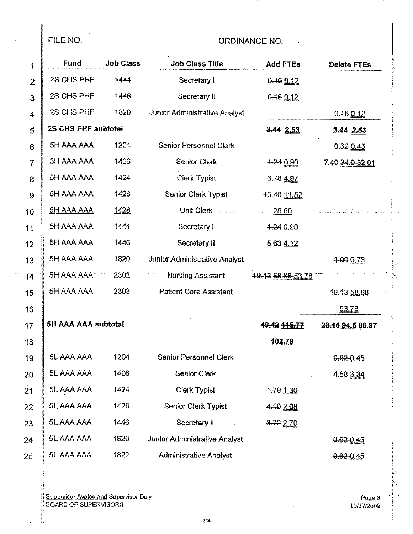FILE NO.

### **ORDINANCE NO.**

| 1              | <b>Fund</b>         | <b>Job Class</b> | <b>Job Class Title</b>               | <b>Add FTEs</b>   | <b>Delete FTEs</b> |  |
|----------------|---------------------|------------------|--------------------------------------|-------------------|--------------------|--|
| $\overline{2}$ | 2S CHS PHF          | 1444             | Secretary I                          | $0.16$ $0.12$     |                    |  |
| 3              | 2S CHS PHF          | 1446             | Secretary II                         | 0.16012           |                    |  |
| .4             | 2S CHS PHF          | 1820             | <b>Junior Administrative Analyst</b> |                   | 0.16012            |  |
| 5              | 2S CHS PHF subtotal |                  |                                      | 3.442.53          | 3.44 2.53          |  |
| 6              | 5H AAA AAA          | 1204             | <b>Senior Personnel Clerk</b>        |                   | 0.620.45           |  |
| $\overline{7}$ | 5H AAA AAA          | 1406             | Senior Clerk                         | 4.240.90          | 7.40 34.0 32.01    |  |
| 8              | 5H AAA AAA          | 1424             | <b>Clerk Typist</b>                  | 6.78 4.97         |                    |  |
| 9              | 5H AAA AAA          | 1426             | Senior Clerk Typist                  | 45.40 11.52       |                    |  |
| 10             | <b>5H AAA AAA</b>   | 1428             | Unit Clerk <b>Communist Clerk</b>    | 26.60             |                    |  |
| 11             | 5H AAA AAA          | 1444             | Secretary I                          | $+240.90$         |                    |  |
| 12             | 5H AAA AAA          | 1446             | Secretary II                         | 5.63 4.12         |                    |  |
| 13             | 5H AAA AAA          | 1820             | <b>Junior Administrative Analyst</b> |                   | 4.00073            |  |
| 14             | <b>5H AAA AAA</b>   | 2302             | Nursing Assistant                    | 49.43 58.88 53.78 |                    |  |
| 15             | 5H AAA AAA          | 2303             | <b>Patient Care Assistant</b>        |                   | 49.43 58.88        |  |
| 16             |                     |                  |                                      |                   | 53.78              |  |
| 17             | 5H AAA AAA subtotal |                  |                                      | 49.42 115.77      | 28.46 94.5 86.97   |  |
| 18             |                     |                  |                                      | 102.79            |                    |  |
| 19             | 5L AAA AAA          | 1204             | <b>Senior Personnel Clerk</b>        |                   | 0.62 0.45          |  |
| 20             | 5L AAA AAA          | 1406             | <b>Senior Clerk</b>                  |                   | 4.58 3.34          |  |
| 21             | 5L AAA AAA          | 1424             | Clerk Typist                         | 4.79 1.30         |                    |  |
| 22             | 5L AAA AAA          | 1426             | <b>Senior Clerk Typist</b>           | 4.10 2.98         |                    |  |
| 23             | 5L AAA AAA          | 1446             | Secretary II                         | 3.72210           |                    |  |
| 24             | 5L AAA AAA          | 1820             | Junior Administrative Analyst        |                   | 0.62 0.45          |  |
| 25             | 5L AAA AAA          | 1822             | <b>Administrative Analyst</b>        |                   | 0.620.45           |  |

**Supervisor Avalos and Supervisor Daly<br>BOARD OF SUPERVISORS** 

Page 3  $\frac{1}{\sqrt{2}}$  $-10/27/2009$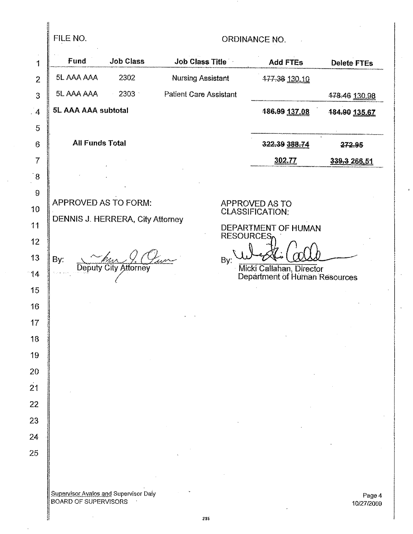FILE NO.

## ORDINANCE NO.

| 1               | <b>Fund</b>                                  | <b>Job Class</b>                 | <b>Job Class Title</b>        |                  | <b>Add FTEs</b>                                           | <b>Delete FTEs</b> |
|-----------------|----------------------------------------------|----------------------------------|-------------------------------|------------------|-----------------------------------------------------------|--------------------|
| $\overline{2}$  | 5L AAA AAA                                   | 2302                             | <b>Nursing Assistant</b>      |                  | 477.38 130.10                                             |                    |
| 3               | 5L AAA AAA                                   | 2303                             | <b>Patient Care Assistant</b> |                  |                                                           | 478.46 130.98      |
| $\cdot$ 4       | 5L AAA AAA subtotal                          |                                  |                               |                  | 486.99 137.08                                             | 484.90 135.67      |
| 5               |                                              |                                  |                               |                  |                                                           |                    |
| $6\overline{6}$ | <b>All Funds Total</b>                       |                                  |                               |                  | 322.39 388.74                                             | 272.95             |
| 7               |                                              |                                  |                               |                  | 302.77                                                    | 339.3 266.51       |
| $\overline{8}$  |                                              |                                  |                               |                  |                                                           |                    |
| 9               | <b>APPROVED AS TO FORM:</b>                  |                                  |                               |                  |                                                           |                    |
| 10              |                                              |                                  |                               |                  | APPROVED AS TO<br><b>CLASSIFICATION:</b>                  |                    |
| 11              |                                              | DENNIS J. HERRERA, City Attorney |                               |                  | <b>DEPARTMENT OF HUMAN</b>                                |                    |
| 12              |                                              |                                  |                               | <b>RESOURCES</b> |                                                           |                    |
| 13              | By:                                          | Deputy City Attorney             |                               | By:              |                                                           |                    |
| 14              |                                              |                                  |                               |                  | Micki Callahan, Director<br>Department of Human Resources |                    |
| 15              |                                              |                                  |                               |                  |                                                           |                    |
| 16              |                                              |                                  |                               |                  |                                                           |                    |
| 17              |                                              |                                  |                               |                  |                                                           |                    |
| 18              |                                              |                                  |                               |                  |                                                           |                    |
| 19              |                                              |                                  |                               |                  |                                                           |                    |
| 20              |                                              |                                  |                               |                  |                                                           |                    |
| $\overline{21}$ |                                              |                                  |                               |                  |                                                           |                    |
| 22              |                                              |                                  |                               |                  |                                                           |                    |
| 23              |                                              |                                  |                               |                  |                                                           |                    |
| 24              |                                              |                                  |                               |                  |                                                           |                    |
| 25              |                                              |                                  |                               |                  |                                                           |                    |
|                 |                                              |                                  |                               |                  |                                                           |                    |
|                 | <b>Supervisor Avalos and Supervisor Daly</b> |                                  |                               |                  |                                                           | Page 4             |

10127/2009

 $\ddot{\phantom{a}}$ 

l,

BOARD OF SUPERVISORS

 $\hat{\boldsymbol{\beta}}$ 

 $\ddot{\phantom{1}}$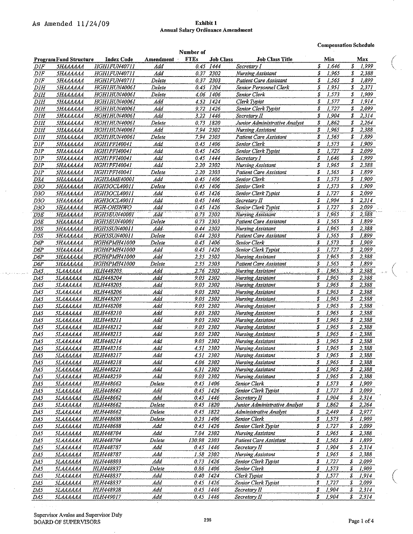$\label{eq:1} \mathcal{L} \leftarrow \mathcal{H}_{\mathcal{L}^{(1)}} \left( \mathcal{L} \right) \left( \mathcal{L} \left( \mathcal{L} \right) \right) \left( \mathcal{L} \left( \mathcal{L} \right) \right)$ 

## **Annual Salary Ordinance Amendment**

**Compensation Schedule** 

|                  |                                                    |                     |           | Number of   |                  |                                      |                 |       |                           |  |
|------------------|----------------------------------------------------|---------------------|-----------|-------------|------------------|--------------------------------------|-----------------|-------|---------------------------|--|
|                  | <b>Program Fund Structure</b>                      | <b>Index Code</b>   | Amendment | <b>FTEs</b> | <b>Job Class</b> | <b>Job Class Title</b>               |                 | Min   | Max                       |  |
| $\cal{D}IF$      | <i><b>5НАААААА</b></i>                             | HGH1FUN40711        | Add       |             | 0.45 1444        | Secretary I                          | \$              | 1,646 | \$<br>1,999               |  |
| DIF              | <b><i><u><i><u><b>SHAAAAAA</b></u></i></u></i></b> | HGH1FUN40711        | A ld      |             | 0.37 2302        | Nursing Assistant                    | \$              | 1,965 | \$<br>2,388               |  |
| DIF              | <i><b>5НАААААА</b></i>                             | <i>HGH1FUN40711</i> | Delete    |             | 0.37 2303        | Patient Care Assistant               | \$              | 1,565 | \$<br>1,899               |  |
| DIH              | SHAAAAAA                                           | HGH1HUN40061        | Delete    |             | 0.45 1204        | Senior Personnel Clerk               | \$              | 1,951 | 2,371<br>S                |  |
| DH               | SHAAAAAA                                           | <b>HGH1HUN40061</b> | Delete    |             | 4.06 1406        | Senior Clerk                         | \$              | 1,573 | \$<br>1,909               |  |
| D <sub>III</sub> | SHAAAAAA                                           | HGH1HUN40061        | Add       |             | 4.52 1424        | Clerk Typist                         | \$              | 1,577 | \$<br>1,914               |  |
| DIH              | <i><b>5НАААААА</b></i>                             | HGH1HUN40061        | Add       |             | 9.72 1426        | Senior Clerk Typist                  | \$              | 1,727 | \$<br>2099                |  |
| $D \wr H$        | SHAAAAAA                                           | HGH1HUN40061        | Add       |             | 3.22 1446        | Secretary II                         | \$              | 1,904 | S<br>2,314                |  |
| D <sub>III</sub> | SHAAAAAA                                           | HGH1HUN40061        | Delete    |             | 0.73 1820        | Junior Administrative Analyst        | \$              | 1,862 | \$<br>2,264               |  |
| D <sub>III</sub> | <b><i><u> SHAAAAAA</u></i></b>                     | HGH1HUN40061        | Add       |             | 7.94 2302        | Nursing Assistant                    | \$              | 1,965 | \$<br>2,388               |  |
| DIH              | SHAAAAAA                                           | HGHIHUN40061        | Delete    |             | 7.94 2303        | Patient Care Assistant               | \$              | 1,565 | \$<br>1,899               |  |
| DIP              | SHAAAAAA                                           | HGH1PF140041        | Add       | 0.45        | 1406             | Senior Clerk                         | \$              | 1,573 | \$<br>1,909               |  |
| DIP              | <b><i><u><i>5НАААААА</i></u></i></b>               | <b>HGH1PFI40041</b> | Add       | 0.45        | 1426             | Senior Clerk Typist                  | \$              | 1,727 | s<br>2.099                |  |
| DIP              | SHAAAAAA                                           | HGH1PFI40041        | Add       | 0.45        | 1444             | Secretary I                          | \$              | 1,646 | \$<br>1.999               |  |
| DIP              | <b><i><u> 5НАААААА</u></i></b>                     | HGH1PF140041        | Add       |             | 2.20 2302        | Nursing Assistant                    | \$              | 1,965 | \$<br>2,388               |  |
| DIP              | SHAAAAAA                                           | HGH1PFI40041        | Delete    | $2.20\,$    | 2303             | <b>Patient Care Assistant</b>        | \$              | 1,565 | \$<br>1,899               |  |
| D3A              | <b><i><u>5НАААААА</u></i></b>                      | HGH3AME40001        | Add       |             | 0.45 1406        | Senior Clerk                         | \$              | 1,573 | \$<br>1,909               |  |
| D3O              | SHAAAAAA                                           | HGH3OCL40011        | Delete    | 0.45        | 1406             | Senior Clerk                         | \$              | 1,573 | \$<br>1,909               |  |
| D3O              | 5HAAAAAA                                           | HGH3OCL40011        | Add       |             | 0.45 1426        | Senior Clerk Typist                  | \$              | 1,727 | \$<br>2,099               |  |
| D3O              | <b><i><u><i>5НАААААА</i></u></i></b>               | HGH3OCL40011        | Add       | 0.45        | 1446             | Secretary II                         | \$              | 1,904 | \$<br>2,314               |  |
| D30              | SHAAAAAA                                           | HGH-OHSHWO          | Add       |             | 0.45 1426        | Senior Clerk Typist                  | \$              | 1,727 | \$<br>2,099               |  |
| $\overline{D5E}$ | <b><i><u><i>5НАААААА</i></u></i></b>               | HGH5EUN40001        | Add       | 0.73        | 2302             | <b>Nursing Assistant</b>             | \$              | 1,965 | Š,<br>2,388               |  |
| D5E              | <b><i><u><i>5НАААААА</i></u></i></b>               | <b>HGH5EUN40001</b> | Delete    | 0.73        | 2303             | <b>Patient Care Assistant</b>        | \$              | 1,565 | \$<br>1,899               |  |
| D5S              | SHAAAAAA                                           | HGH5SUN40011        | Add       | 0.44        | 2302             | Nursing Assistant                    | \$              | 1,965 | S<br>2,388                |  |
| D5S              | 5ΗΑΑΑΑΑΑ                                           | HGH5SUN40011        | Delete    | 0.44        | 2303             | Patient Care Assistant               | \$              | 1,565 | $\boldsymbol{s}$<br>1,899 |  |
| D6P              | SHAAAAAA                                           | HGH6PMH41000        | Delete    | 0.45        | 1406             | Senior Clerk                         | \$              | 1,573 | \$<br>1,909               |  |
| D6P              | SHAAAAAA                                           | HGH6PMH41000        | Add       | 0.45        | 1426             | Senior Clerk Typist                  | \$              | 1,727 | \$<br>2,099               |  |
| D6P              | SHAAAAAA                                           | HGH6PMH41000        | Add       |             | 2.35 2302        | Nursing Assistant                    | \$              | 1,965 | \$<br>2,388               |  |
| D6P              | SHAAAAAA                                           | HGH6PMH41000        | Delete    |             | 2.35 2303        | Patient Care Assistant               | \$              | 1,565 | \$<br>1,899               |  |
| DAS.             | 5LAAAAAA                                           | HLH448203.          | Add       |             | 2.76 2302        | Nursing Assistant<br>.<br>Prezidente | $\mathcal{S}$ . | 1,965 | $\mathbf{S}$<br>2,388     |  |
| DAS              | SLAAAAAA                                           | <i>HLH448204</i>    | Add       | 9.03        | 2302             | and control<br>Nursing Assistant     | \$              | 1,965 | \$<br>2,388               |  |
| DA5              | 5LAAAAAA                                           | HLH448205           | Add       | 9.03 2302   |                  | Nursing Assistant                    | \$              | 1,965 | \$<br>2,388               |  |
| $\overline{DAS}$ | <i><b>SLAAAAAA</b></i>                             | HLH448206           | Add       | 9.03        | 2302             | Nursing Assistant                    | \$              | 1.965 | \$<br>2,388               |  |
| DA5              | SLAAAAAA                                           | <b>HLH448207</b>    | Add       | 9.03        | 2302             | Nursing Assistant                    | \$              | 1,965 | \$<br>2,388               |  |
| DAS              | <i><b>SLAAAAAA</b></i>                             | HLH448208           | Add       | 9.03        | 2302             | Nursing Assistant                    | \$              | 1,965 | \$<br>2,388               |  |
| DAS              | SLAAAAAA                                           | HLH448210           | Add       | 9,03        | 2302             | Nursing Assistant                    | \$              | 1,965 | \$<br>2,388               |  |
| DA5              | <b>SLAAAAAA</b>                                    | HLH448211           | Add       | 9.03        | 2302             | Nursing Assistant                    | \$              | 1,965 | \$<br>2,388               |  |
| DAS.             | SLAAAAAA                                           | HLH448212           | Add       | 9.03        | 2302             | Nursing Assistant                    | \$              | 1,965 | \$<br>2,388               |  |
| DA5              | SLAAAAAA                                           | HLH448213           | Add       | 9.03        | 2302             | Nursing Assistant                    | \$              | 1,965 | $$3 - 2,388$              |  |
| DAS              | SLAAAAAA                                           | HLH448214           | Add       | 9.03 2302   |                  | Nursing Assistant                    | \$              | 1,965 | $\boldsymbol{s}$<br>2,388 |  |
| DAS.             | 5I AAAAAA                                          | <i>HLH448216</i>    | Add       | 4.51 2302   |                  | Nursing Assistant                    | \$              | 1,965 | \$<br>2,388               |  |
| DAS              | SLAAAAAA                                           | HLH448217           | Add       | 4.51 2302   |                  | Nursing Assistant                    | \$              | 1,965 | \$<br>2,388               |  |
| DA5              | SLAAAAAA                                           | HLH448218           | Add       |             | 4.06 2302        | Nursing Assistant                    | \$              | 1,965 | \$<br>2,388               |  |
| DÁS              | SLAAAAAA                                           | HLH448221           | Add       | 6.31        | 2302             | Nursing Assistant                    | \$              | 1,965 | \$<br>2,388               |  |
| DAS              | SLAAAAAA                                           | <b>HLH448259</b>    | Add       | 9.03        | 2302             | Nursing Assistant                    | \$              | 1,965 | \$<br>2,388               |  |
| DAS              | 5LAAAAAA                                           | HLH448662           | Deiete    |             | 0.45 1406        | Senior Clerk                         | \$              | 1,573 | \$<br>1,909               |  |
| DAS              | <b>SLAAAAAA</b>                                    | HLH448662           | Add       |             | 0.45 1426        | Senior Clerk Typist                  | \$              | 1,727 | \$<br>2,099               |  |
| DAS              | <b>SLAAAAAA</b>                                    | HLH448662           | Add       |             | 0.45 1446        | Secretary II                         | \$              | 1,904 | \$<br>2,314               |  |
| DAS              | 5LAAAAAA                                           | <i>HLH448662</i>    | Delete    |             | 0.45 1820        | Junior Administrative Analyst        | \$              | 1,862 | \$<br>2,264               |  |
| DA5              | <b><i>SLAAAAAA</i></b>                             | HLH448662           | Delete    | 0.45 1822   |                  | Administrative Analyst               | \$              | 2,449 | \$<br>2,977               |  |
| DAS              | SLAAAAAA                                           | HLH448688           | Delete    |             | 0.23 1406        | Senior Clerk                         | \$              | 1,573 | \$<br>1,909               |  |
| DA5              | SLAAAAAA                                           | HLH448688           | Aad       |             | 0.45 1426        | Senior Clerk Typist                  | \$              | 1,727 | \$<br>2,099               |  |
| DAS              | SLAAAAAA                                           | HLH448704           | Add       | 7.04 2302   |                  | Nursing Assistant                    | \$              | 1,965 | \$<br>2,388               |  |
| DA5              | SLAAAAAA                                           | HLH448704           | Delete    | 130.98 2303 |                  | Patient Care Assistant               | \$              | 1.565 | \$<br>1,899               |  |
| DA5              | <b>SLAAAAAA</b>                                    | <b>HLH448787</b>    | Add       |             | 0.45 1446        | Secretary II                         | \$              | 1,904 | \$<br>2,314               |  |
| DA5              | <b>SLAAAAAA</b>                                    | <b>HLH448787</b>    | Add       | 1.58 2302   |                  | Nursing Assistant                    | \$              | 1,965 | \$<br>2,388               |  |
| DAS.             | <b>SLAAAAAA</b>                                    | <i>HLH448803</i>    | Add       |             | 0.73 1426        | Senior Clerk Typist                  | \$              | 1,727 | \$<br>2,099               |  |
| DA5              | <b>SLAAAAAA</b>                                    | HLH448837           | Detete    |             | 0.86 1406        | Senior Clerk                         | \$              | 1,573 | \$<br>1,909               |  |
| DA5              | <i><b>SLAAAAAA</b></i>                             | HLH448837           | Add       | 0.40 1424   |                  | Clerk Typist                         | \$              | 1.577 | \$<br>1,914               |  |
| DA5              | SLAAAAAA                                           | <i>HLH448837</i>    | Add       | 0.45 1426   |                  | Senior Clerk Typist                  | \$              | 1,727 | $\boldsymbol{s}$<br>2,099 |  |
| DA5              | 5I AAAAAA                                          | HLH448928           | Add       |             | 0.45 1446        | Secretary II                         | \$              | 1,904 | \$<br>2,314               |  |
| $\overline{DAS}$ | SLAAAAAA                                           | HLH449017           | Add       |             | 0.45 7446        | Secretary II                         | \$              | 1,904 | \$<br>2,314               |  |
|                  |                                                    |                     |           |             |                  |                                      |                 |       |                           |  |

**Supervisor Avalos and Supervisor Daly**  BOARD OF SUPERVISORS **236 Page 1 of 4**   $\mathbb{R}^2$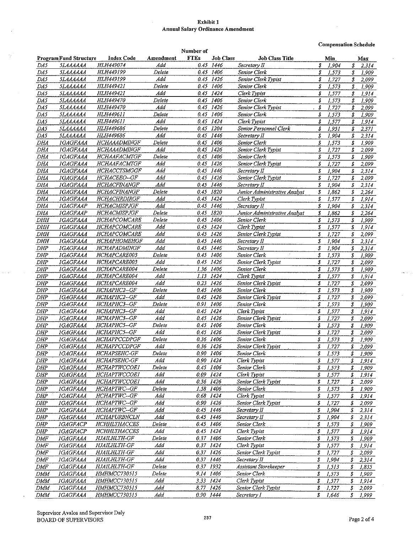#### **Exhibit 1 Annual Salary Ordinance Amendment**

**Compensation Schedule** 

|            |                                                    |                                   |              | Number of   |           |                               |    |       |                     |       |
|------------|----------------------------------------------------|-----------------------------------|--------------|-------------|-----------|-------------------------------|----|-------|---------------------|-------|
|            | <b>ProgramFund Structure</b>                       | <b>Index Code</b>                 | Amendment    | <b>FTEs</b> | Job Class | <b>Job Class Title</b>        |    | Min.  |                     | Max   |
| DA5        | <b>SLAAAAAA</b>                                    | HLH449074                         | Add          | 0.45        | 1446      | Secretary II                  | \$ | 1,904 | S                   | 2314  |
| DA5        | 5LAAAAAA                                           | HLH449199                         | Delete       |             | 0.45 1406 | Senior Clerk                  | \$ | 1,573 | \$                  | 1.909 |
| DA5        | <b>SLAAAAAA</b>                                    | HLH449199                         | Add          | 0.45        | 1426      | Senior Clerk Typist           | \$ | 1,727 | \$                  | 2,099 |
| DA5        | <b>SLAAAAAA</b>                                    | HLH449421                         | Delete       | 0.45        | 1406      | Senior Clerk                  | S  | 1,573 | \$                  | 1,909 |
| DA5        | <i><b>SLAAAAAA</b></i>                             | HLH449421                         | Add          | 0.45        | 1424      | Clerk Typist                  | \$ | 1,577 | s                   | 1.914 |
| DA5        | SLAAAAAA                                           | HLH449470                         | Delete       | 0.45        | 1406      | Senior Clerk                  | S  | 1,573 | \$                  | 1,909 |
| DA5        | <i><b>SLAAAAAA</b></i>                             | HLH449470                         | Add          | 0.45        | 1426      | Senior Clerk Typist           | \$ | 1,727 | \$                  | 2.099 |
| DA5        | <i><b>5LAAAAAA</b></i>                             | HLH449611                         | Delete       | 045         | 1406      | Senior Clerk                  | \$ | 1,573 | \$                  | 1909  |
| DA5        | <b><i><u><i><u><b>SLAAAAAA</b></u></i></u></i></b> | HLH449611                         | Add          | 0.45        | 1424      | Clerk Typist                  | \$ | 1,577 | \$                  | 1,914 |
| DA5        | <i><b>SLAAAAAA</b></i>                             | HLH449686                         | Delete       | 0.45        | 1204      | Senior Personnel Clerk        | \$ | 1,951 | \$                  | 2,371 |
| DA5        | <i><b><i><u>5LAAAAAA</u></i></b></i>               | HLH449686                         | Add          | 0.45        | 1446      | Secretary II                  | \$ | 1,904 | S                   | 2,314 |
| DHA        | <b>IGAGFAAA</b>                                    | HCHAAADMINGF                      | Delete       | 0.45        | 1406      | Senior Clerk                  | \$ | 1,573 | \$                  | 1,909 |
| DHA        | <b>IGAGFAAA</b>                                    | HCHAAADMINGF                      | Add          | 0.45        | 1426      | Senior Clerk Typist           | \$ | 1,727 | \$                  | 2,099 |
| DHA        | <b>IGAGFAAA</b>                                    | HCHAAFACMTGF                      | Delete       | 0.45        | 1406      | Senior Clerk                  | \$ | 1,573 | \$                  | 1.909 |
| DHA        | <b>IGAGFAAA</b>                                    | HCHAAFACMTGF                      | $\Lambda$ dd | 0.45        | 1426      | Senior Clerk Typist           | \$ | 1,727 | \$                  | 2,099 |
| DHA        | <b>IGAGFAAA</b>                                    | HCHACCTSMGGF                      | Add          | 0.45        | 1446      | Secretary II                  | s  | 1,904 | \$                  | 2,314 |
| DHA        | <b>IGAGFAAA</b>                                    | HCHACEEO-GF                       | Add          |             | 0.45 1426 | Senior Clerk Typist           | \$ | 1,727 | \$                  | 2,099 |
| DHA        | <i><b>IGAGFAAA</b></i>                             | <b>HCHACFINANGF</b>               | Add          |             | 0.45 1446 | Secretary II                  | \$ | 1,904 | \$                  | 2,314 |
| DHA        | <b>IGAGFAAA</b>                                    | HCHACFINANGF                      | Delete       | 0.45        | - 1820    | Junior Administrative Analyst | \$ | 1,862 | \$                  | 2,264 |
| DHA        | <b>IGAGFAAA</b>                                    | HCHACHRDIRGF                      | Add          | 0.45        | 1424      | Clerk Typist                  | \$ | 1,577 | \$                  | 1,914 |
| DHA        | <b>IGAGFAAP</b>                                    | HCHACMISPJGF                      | Add          |             | 0.45 1446 | Secretary II                  | \$ | 1,904 | \$                  | 2,314 |
| DHA        | IGAGFAAP                                           | <b>HCHACMISPJGF</b>               | Delete       | 0.45        | 1820      | Junior Administrative Analyst | \$ | 1,862 | \$                  | 2 264 |
| DHH        | <b>IGAGFAAA</b>                                    | HCHAPCOMCARE                      | Delete       |             | 0.45 1406 | Senior Clerk                  | \$ | 1,573 | \$                  | 1,909 |
| DIIH       | <b>IGAGFAAA</b>                                    | HCHAPCOMCARE                      | Add          | 0.45        | 1424      | Clerk Typist                  | S  | 1,577 | \$                  | 1,914 |
| DHH        | <i>IGAGFAAA</i>                                    | HCHAPCOMCARE                      | Add          |             | 0.45 1426 | Senior Clerk Typist           | £  | 1,727 | \$                  | 2,099 |
| <i>DHH</i> | <i><b>IGAGFAÁA</b></i>                             | HCHAPHOMEHGF                      | Add          | 0.45        | 1446      | Secretary II                  | \$ | 1,904 | S                   | 2,314 |
| <b>DHP</b> | IGAGFAAA                                           | HCHAPADMINGF                      | Add          | 0.45        | 1446      | Secretary II                  | \$ | 1,904 | \$                  | 2.314 |
| <b>DHP</b> | IGAGFAAA                                           | HCHAPCARE003                      | Delete       | 0.45        | 1406      | Senior Clerk                  | \$ | 1,573 | \$                  | 1.909 |
| <b>DHP</b> | <i><b>IGAGFAAA</b></i>                             | HCHAPCARE003                      | Add          | 0.45        | 1426      | Senior Clerk Typist           | s  | 1,727 | \$                  | 2,099 |
| <b>DHP</b> | <b>IGAGFAAA</b>                                    | HCHAPCARE004                      | Delete       | 1.36        | 1406      | Senior Clerk                  | \$ | 1,573 | \$                  | 1,909 |
| <b>DHP</b> | <b>IGAGFAAA</b>                                    | HCHAPCARE004                      | Add          | 1.13        | 1424      | Clerk Typist                  | \$ | 1,577 | \$                  | 1,914 |
| <b>DHP</b> | <b>IGAGFAAA</b>                                    | HCHAPCARE004                      | Add          | 0.23        | 1426      | Senior Clerk Typist           | \$ | 1,727 | \$                  | 2,099 |
| <b>DHP</b> | <i><b>IGAGFAAA</b></i>                             | HCHAPHC2-GF                       | Delete       | 0.45        | 1406      | Senior Clerk                  | \$ | 1,573 | \$                  | 1,909 |
| DHP        | <b>IGAGFAAA</b>                                    | HCHAPHC2-GF                       | Add          | 0.45        | 1426      | Senior Clerk Typist           | \$ | 1,727 | 8                   | 2,099 |
| <b>DHP</b> | <b>IGAGFAAA</b>                                    | HCHAPHC3-GF                       | Delete       | 0.91        | 1406      | Senior Clerk                  | S  | 1,573 | $\boldsymbol{s}$    | 1,909 |
| DHP        | <b>IGAGFAAA</b>                                    | HCHAPHC3--GF                      | Ada<br>Add   |             | 0.45 1424 | Clerk Typist                  | \$ | 1,577 | \$                  | 1,914 |
| DHP        | IGAGFAAA                                           | HCHAPHC3-GF<br><b>HCHAPHC5-GF</b> |              | 0.45        | 1426      | Senior Clerk Typist           | S  | 1,727 | \$                  | 2,099 |
| <b>DHP</b> | IGAGFAAA                                           |                                   | Delete       |             | 0.45 1406 | Senior Clerk                  | s  | 1,573 | \$                  | 1,909 |
| <b>DHP</b> | <b>IGAGFAAA</b>                                    | HCHAPHC5-GF                       | Add          | 0.45        | 1426      | Senior Clerk Typist           | \$ | 1,727 | \$                  | 2,099 |
| DHP        | 1GAGFAAA                                           | HCHAPPCCDPGF                      | Delete       |             | 0.36 1406 | Senior Clerk                  | \$ | 1,573 | \$                  | 1,909 |
| DHP        | <b>IGAGFAAA</b>                                    | HCHAPPCCDPGF                      | Ada          |             | 0.36 1426 | Senior Clerk Typist           | \$ | 1,727 | $\boldsymbol{s}$    | 2.099 |
| DHP        | <b>IGAGFAAA</b>                                    | HCHAPSEHC-GF                      | Delete       |             | 0.90 1406 | Senior Clerk                  | \$ | 1,573 | \$                  | 1,909 |
| <b>DHP</b> | IGAGFAAA                                           | HCHAPSEHC-GF                      | Add          | 0.90        | 1424      | Clerk Typist                  | \$ | 1,577 | \$                  | 1,914 |
| DHP        | <b>IGAGFAAA</b>                                    | <b>HCHAPTWCCOEI</b>               | Delete       |             | 0.45 1406 | Senior Clerk                  | \$ | 1,573 | \$                  | 1,909 |
| DHP        | <b>IGAGFAAA</b>                                    | HCHAPTWCCOEI                      | Add          |             | 0.09 1424 | Clerk Typist                  | \$ | 1,577 | \$                  | 1,914 |
| <b>DHP</b> | <b>IGAGFAAA</b>                                    | <b>НСНАРТWCCOE1</b>               | Add          |             | 0.36 1426 | Senior Clerk Typist           | \$ | 1,727 | \$                  | 2,099 |
| DHP        | <i><b>IGAGFAAA</b></i>                             | HCHAPTWC--GF                      | Delete       |             | 1.58 1406 | Senior Clerk                  | \$ | 1,573 | S                   | 1,909 |
| DHP        | <b>IGAGFAAA</b>                                    | HCHAPTWC--GF                      | Ada<br>Add   |             | 0.68 1424 | Clerk Typist                  | \$ | 1,577 | \$                  | 1,914 |
| <b>DHP</b> | <b>IGAGFAAA</b>                                    | HCHAPTWC--GF                      |              |             | 0.90 1426 | Senior Clerk Typist           | \$ | 1,727 | \$                  | 2,099 |
| DHP        | <b>IGAGFAAA</b>                                    | HCHAPTWC--GF                      | Add          |             | 0.45 1446 | Secretary II                  | \$ | 1,904 | \$                  | 2,314 |
| DHP        | <b>IGAGFAAA</b>                                    | HCHAPURBNCLN                      | Add          |             | 0.45 1446 | Secretary II                  | \$ | 1,904 | \$                  | 2,314 |
| DHP        | <b>IGAGFACP</b>                                    | HCHHLTHACCES                      | Delete       |             | 0.45 1406 | Senior Clerk                  | \$ | 1,573 | \$                  | 1,909 |
| DHP        | <i><b>IGAGFACP</b></i>                             | HCHHLTHACCES                      | Ada          | 0.45 1424   |           | Clerk Typist                  | \$ | 1,577 | $\pmb{\mathcal{S}}$ | 1,914 |
| DMF        | <i><b>IGAGFAAA</b></i>                             | HJAILHLTH-GF                      | Delete       |             | 0.37 1406 | Senior Clerk                  | \$ | 1,573 | \$                  | 1,909 |
| DMF        | <i><b>IGAGFAAA</b></i>                             | HJAILHLTH-GF                      | Add          | 0.37 1424   |           | Clerk Typist                  | \$ | 1,577 | \$                  | 1,914 |
| DMF        | <b>IGAGFAAA</b>                                    | HJAILHLTH-GF                      | Add          | 0.37 1426   |           | Senior Clerk Typist           | \$ | 1,727 | \$                  | 2,099 |
| DMF        | <b>IGAGFAAA</b>                                    | HJAILHLTH-GF                      | Add          | 0.37 1446   |           | Secretary II                  | \$ | 1,904 | \$                  | 2,314 |
| DMF        | <b>IGAGFAAA</b>                                    | HJAILHLTH-GF                      | Delete       | 0.37 1932   |           | Assistant Storekeeper         | \$ | 1,513 | \$                  | 1,835 |
| DMM        | <b>IGAGFAAA</b>                                    | HMHMCC730515                      | Delete       | 9.14 1406   |           | Senior Clerk                  | \$ | 1,573 | \$                  | 1,909 |
| DMM        | <b>IGAGFAAA</b>                                    | HMHMCC730515                      | Add          |             | 3.33 1424 | Clerk Typist                  | \$ | 1,577 | \$                  | 1,914 |
| DMM        | <i><b>IGAGFAAA</b></i>                             | HMHMCC730515                      | Ada          |             | 8.77 1426 | Senior Clerk Typist           | \$ | 1,727 | \$                  | 2,099 |
| <b>DMM</b> | IGAGFAAA                                           | HMHMCC730515                      | Add          | 0.90 1444   |           | Secretary I                   | S  | 1,646 | \$                  | 1,999 |

÷.

 $\sim 100$ 

 $\sim$ 

t.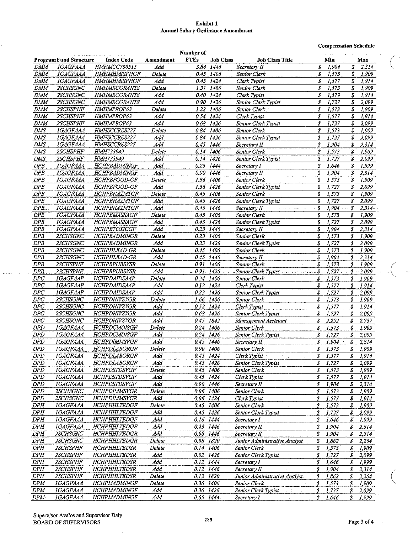#### **Exhibit 1 Annual Salary Ordinance Amendment**

**Compensation Schedule** 

|                   |                                           |                                            |                                       | Number of              |                  |                                                                 |                    | $\sim 10^{12}$ km s $^{-1}$ |                            |                |  |
|-------------------|-------------------------------------------|--------------------------------------------|---------------------------------------|------------------------|------------------|-----------------------------------------------------------------|--------------------|-----------------------------|----------------------------|----------------|--|
|                   | <b>Program Fund Structure</b>             | <b>Index Code</b>                          | Amendment                             | <b>FTEs</b>            | <b>Job Class</b> | <b>Job Class Title</b>                                          |                    | Min                         |                            | Max            |  |
| <b>DMM</b>        | <b>IGAGFAAA</b>                           | HMHMCC730515                               | Add                                   |                        | 3.84 1446        | Secretary II                                                    | \$                 | 1,904                       | \$                         | 2,314          |  |
| <b>DMM</b>        | <b>IGAGFAAA</b>                           | HMHMHMISPHGF                               | Delete                                |                        | 0.45 1406        | Senior Clerk                                                    | \$                 | 1,573                       | \$                         | 1,909          |  |
| DMM               | <i><b>IGAGFAAA</b></i>                    | HMHMHMISPHGF                               | Add                                   |                        | 0.45 1424        | Clerk Typist                                                    | \$                 | 1,577                       | \$                         | 1,914          |  |
| DMM               | 2SCHSGNC                                  | <b>HMHMRCGRANTS</b>                        | Delete                                | 1.31                   | 1406             | Senior Clerk                                                    | \$                 | 1,573                       | \$                         | 1,909          |  |
| DMM               | 2SCHSGNC                                  | <b>HMHMRCGRANTS</b>                        | Ada                                   |                        | 0.40 1424        | Clerk Typist                                                    | \$                 | 1,577                       | 3                          | 1.914          |  |
| <b>DMM</b>        | <b>2SCHSGNC</b>                           | <b>HMHMRCGRANTS</b>                        | Add                                   |                        | 0.90 1426        | Senior Clerk Typist                                             | \$                 | 1,727                       | \$                         | 2,099          |  |
| DMM               | 2SCHSPHF                                  | HMHMPROP63                                 | Delete                                |                        | 1.22 1406        | Senior Clerk                                                    | \$                 | 1,573                       | \$                         | 1,909          |  |
| DMM               | 2SCHSPHF                                  | HMHMPROP63                                 | Add                                   | 0.54                   | 1424             | Clerk Typist                                                    | \$                 | 1,577                       | \$                         | 1,914          |  |
| DMM               | 2SCHSPHF                                  | HMHMPROP63                                 | Add                                   | 0.68                   | 1426             | Senior Clerk Typist                                             | \$                 | 1,727                       | \$                         | 2,099          |  |
| DMS               | IGAGFAAA                                  | HMHSCCRES227                               | Delete                                | 0.84                   | 1406             | Senior Clerk                                                    | \$                 | 1,573                       | \$                         | 1,909          |  |
| DMS               | <i><b>IGAGFAAA</b></i>                    | HMHSCCRES227                               | Ada                                   |                        | 0.84 1426        | Senior Clerk Typist                                             | \$                 | 1,727                       | \$                         | 2.099          |  |
| DMS               | IGAGFAAA                                  | HMHSCCRES227                               | Add                                   | 0.45                   | 1446             | Secretary II                                                    | \$                 | 1,904                       | \$                         | 2,314          |  |
| DMS               | 2SCHSPHF                                  | HMH733949                                  | Delete                                |                        | 0.14 1406        | Senior Clerk                                                    | \$                 | 1,573                       | \$                         | 1 909          |  |
| DMS               | 2SCHSPHF                                  | <b>HMH733949</b>                           | Add                                   | 0.14                   | 1426             | Senior Clerk Typist                                             | \$                 | 1,727                       | \$                         | 2,099          |  |
| DPB               | <b>IGAGFAAA</b>                           | HCHPBADMINGF                               | Add                                   | 0.23                   | 1444             | Secretary I                                                     | \$                 | 1,646                       | \$                         | 1,999          |  |
| <b>DPB</b>        | <b>IGAGFAAA</b>                           | HCHPBADMINGF                               | Add                                   |                        | 0.90 1446        | Secretary II                                                    | \$                 | 1,904                       | S                          | 2,314          |  |
| DPB               | <b>IGAGFAAA</b>                           | HCHPBFOOD-GF                               | Delete                                |                        | 1.36 1406        | Senior Clerk                                                    | \$                 | 1,573                       | S                          | 1,909          |  |
| DPB               | IGAGFAAA                                  | HCHPBFOOD-GF                               | Add                                   |                        | 1.36 1426        | Senior Clerk Typist                                             | \$                 | 1,727                       | \$                         | 2,099          |  |
| DPB               | IGAGFAAA                                  | HCHPBHAZMTGF                               | Delete                                |                        | 0.45 1406        | Senior Clerk                                                    | \$                 | 1,573                       | \$                         | 1,909          |  |
| DPB               | 1GAGFAAA                                  | HCHPBHAZMTGF                               | Add                                   |                        | 0.45 1426        | Senior Clerk Typist                                             | \$                 | 1,727                       | S                          | 2,099          |  |
| DPB.              | <i><b>IGAGFAAA</b></i>                    | HCHPBHAZMTGF                               | Add<br>$\mathbf{L}^{\prime}$ is a set |                        | 0.45 1446        | Secretary II<br>المتوارث المتبدون والمواليد                     | - S                | 1,904                       | S.                         | $2,314-$       |  |
| $\overline{DPB}$  | <b>IGAGFAAA</b>                           | <b>HCHPBMASSAGF</b>                        | Delete                                |                        | 0.45 1406        | Senior Clerk                                                    | \$                 | 1,573                       | \$                         | 1,909          |  |
| DPB               | IGAGFAAA                                  | HCHPBMASSAGF                               | Add                                   |                        | 0.45 1426        | Senior Clerk Typist                                             | \$                 | 1,727                       | \$                         | 2,099          |  |
| DPB               | <b>IGAGFAAA</b>                           | HCHPBTOXICGF                               | Add                                   |                        | 0.23 1446        | Secretary II                                                    | \$                 | 1,904                       | \$                         | 2,314          |  |
| DPB               | 2SCHSGNC                                  | HCHPBADMINGR                               | Delete                                | 0.23                   | 1406             | Senior Clerk                                                    | \$                 | 1,573                       | \$                         | 1,909          |  |
| DPB               | 2SCHSGNC                                  | HCHPBADMINGR                               | Add                                   |                        | 0.23 1426        | Senior Clerk Typist                                             | \$                 | 1,727                       | \$                         | 2,099          |  |
| DPB               | 2SCHSGNC                                  | HCHPHLEAD-GR                               | Delete                                | 0.45                   | 1406             | Senior Clerk                                                    | \$                 | 1,573                       | \$                         | 1,909          |  |
| DPB               | 2SCHSGNC                                  | HCHPHLEAD-GR                               | Add                                   |                        | 0.45 1446        | Secretary II                                                    | \$                 | 1,904                       | S                          | 2,314          |  |
| DPB               | 2SCHSPHF                                  | <b>HCHPBPUBSVSR</b>                        | Delete                                | 0.91                   | 1406             | Senior Clerk                                                    | \$                 | 1,573                       | S                          | 1,909          |  |
| DPB.              | 2SCHSPHF                                  | <b>HCHPBPUBSVSR</b>                        | Add                                   |                        |                  | $0.91$ 1426 Senior Clerk Typist                                 |                    |                             |                            | $$ -2,099$     |  |
| $_{DPC}$          | <b>IGAGFAAP</b>                           | HCHPDAIDSAAP                               | Delete                                | 0.34                   | 1406             | Senior Clerk                                                    | \$                 | 1,573                       | S                          | 1,909          |  |
| DPC               | <b>IGAGFAAP</b>                           | HCHPDAIDSAAP                               | Add                                   | 0.12                   | 1424             | Clerk Typist                                                    | \$                 | 1,577                       | $\boldsymbol{s}$           | 1,914          |  |
| DPC               | <i><b>IGAGFAAP</b></i>                    | HCHPDAIDSAAP                               | Add                                   | 0.23                   | 1426             | Senior Clerk Typist                                             | \$                 | 1,727                       | \$                         | 2,099          |  |
| DPC               | 2SCHSGNC                                  | HCHPDHIVSVGR                               | Delete                                | 1.66                   | 1406             | Senior Clerk                                                    | \$                 | 1,573                       | \$                         | 1,909          |  |
| DPC               | 2SCHSGNC                                  | HCHPDHIVSVGR                               | Add                                   | 0.52 1424              |                  | Clerk Typist                                                    | \$                 | 1,577                       | \$                         | 1,914          |  |
| DPC               | 2SCHSGNC<br>2SCHSGNC                      | HCHPDHIVSVGR<br>HCHPDHIVSVGR               | Add                                   | 0.68 1426              |                  | Senior Clerk Typist                                             | \$                 | 1,727                       | \$                         | 2,099          |  |
| DPC               |                                           |                                            | Add<br>Delete                         | 0.45 1842<br>0.24 1406 |                  | Management Assistant                                            | \$                 | 2,252                       | \$                         | 2,737          |  |
| DPD               | IGAGFAAA                                  | HCHPDCMDISGF<br><b>HCHPDCMDISGF</b>        |                                       |                        |                  | Senior Clerk                                                    | \$                 | 1,573                       | \$<br>\$                   | 1,909          |  |
| <b>DPD</b><br>DPD | <b>IGAGFAAA</b><br><i><b>IGAGFAAA</b></i> | HCHPDIMMSVGF                               | Add<br>Add                            | 0.24 1426              | 0.45 1446        | Senior Clerk Typist                                             | \$<br>\$           | 1,727<br>1,904              | \$                         | 2,099<br>2,314 |  |
| DPD               |                                           | <b>HCHPDLABORGF</b>                        | Delete                                |                        |                  | Secretary II                                                    | \$                 |                             |                            |                |  |
| DPD               | <i><b>IGAGFAAA</b></i><br><b>IGAGFAAA</b> | HCHPDLABORGF                               | Add                                   | 0.90 1406<br>0.45 1424 |                  | Senior Clerk<br>Clerk Typist                                    |                    | 1,573                       | \$                         | 1,909          |  |
| DPD               | <b>IGAGFAAA</b>                           | <b>HCHPDLABORGF</b>                        | Add                                   | 0.45 1426              |                  | Senior Clerk Typist                                             | S<br>\$            | - 1,577<br>1,727            | \$<br>\$                   | 1,914          |  |
| DPD               | <b>IGAGFAAA</b>                           | HCHPDSTDSVGF                               | Delete                                |                        | 0.45 1406        | Senior Clerk                                                    | \$                 | 1,573                       | \$                         | 2,099<br>1,909 |  |
| <b>DPD</b>        | IGAGFAAA                                  | HCHPDSTDSVGF                               | Add                                   | $0.45$ $1424$          |                  | Clerk Typist                                                    | \$                 | 1,577                       | \$                         | 1,914          |  |
| DPD               | <b>IGAGFAAA</b>                           | HCHPDSTDSVGF                               | Add                                   | 0.90 1446              |                  | Secretary II                                                    | \$                 | 1,904                       | \$                         | 2,314          |  |
| <b>DPD</b>        | 2SCHSGNC                                  | HCHPDIMMSVGR                               | Delete                                | 0.06 1406              |                  | Senior Clerk                                                    | \$                 | 1,573                       | \$                         | 1,909          |  |
| DPD               | <b>2SCHSGNC</b>                           | HCHPDIMMSVGR                               | Add                                   | 0.06 1424              |                  | Clerk Typist                                                    | \$                 | 1,577                       | S                          | 1,914          |  |
| DPH               | IGAGFAAA                                  | HCHPHHLTEDGF                               | Delete                                | 0.45 1406              |                  | Senior Clerk                                                    | \$                 | 1,573                       | s                          | 1,909          |  |
| DPH               | <b>IGAGFAAA</b>                           | HCHPHHLTEDGF                               | Add                                   | 0.45 1426              |                  | Senior Clerk Typist                                             | \$                 | 1,727                       | \$                         | 2,099          |  |
| DPH               | <b>IGAGFAAA</b>                           | HCHPHHLTEDGF                               | Add                                   | 0.16 1444              |                  | Secretary I                                                     | \$                 | 1,646                       | \$                         | 1,999          |  |
| <b>DPH</b>        | <b>IGAGFAAA</b>                           | HCHPHHLTEDGF                               | Add                                   | 0.23 1446              |                  |                                                                 | \$                 | 1,904                       | \$                         |                |  |
| DPH               | 2SCHSGNC                                  | HCHPHHLTEDGR                               | Add                                   | 0.08 1446              |                  | Secretary II<br>Secretary II                                    | \$                 | 1,904                       | \$                         | 2,314<br>2,314 |  |
| DPH               | 2SCHSGNC                                  | HCHPHHLTEDGR                               | Delete                                | 0.08 1820              |                  | Junior Administrative Analyst                                   |                    | 1,862                       |                            |                |  |
| DPH               | 2SCHSPHF                                  | HCHPHHLTEDSR                               | Delete                                | 0.14 1406              |                  | Senior Clerk                                                    | \$<br>\$           | 1,573                       | \$                         | 2,264          |  |
|                   | 2SCHSPHF                                  | HCHPHHLTEDSR                               | Add                                   |                        |                  | 经应用                                                             |                    |                             | \$                         | 1,909          |  |
| DPH               |                                           |                                            |                                       | 0.02 1426              |                  | Senior Clerk Typist                                             | \$                 | 1,727                       | s                          | 2,099          |  |
| DPH               | 2SCHSPHF<br>2SCHSPHF                      | <b>HCHPHHLTEDSR</b><br><b>HCHPHHLTEDSR</b> | Add<br>Add                            | 0.12 1444<br>0.12 1446 |                  | Secretary I                                                     | \$                 | 1,646                       | $\boldsymbol{\mathcal{S}}$ | 1,999          |  |
| DPH               | 2SCHSPHF                                  | HCHPHHLTEDSR                               | Delete                                | 0.12 1820              |                  | Secretary II                                                    | \$                 | 1,904                       | $\pmb{\mathcal{S}}$        | 2,314          |  |
| DPH               | <b>IGAGFAAA</b>                           | HCHPMADMINGF                               | Delete                                |                        |                  | Junior Administrative Analyst<br>Y.                             | \$<br>$\mathcal S$ | 1,862                       | \$<br>${\mathcal S}$ .     | 2,264          |  |
| DPM               | IGAGFAAA                                  | HCHPMADMINGF                               | Add                                   | 0.36 1406              |                  | Senior Clerk                                                    |                    | 1,573                       |                            | 1,909          |  |
| DPM<br>DPM        | <b>IGAGFAAA</b>                           | <b>HCHPMADMINGF</b>                        | Add                                   | 0.36 1426              | 0.65 1444        | Senior Clerk Typist<br>an P<br>Secretary I<br>$\tau_1 = \tau_1$ | \$<br>\$           | 1,727<br>1,646              | $\pmb{\mathcal{S}}$<br>\$  | 2,099<br>1,999 |  |
|                   |                                           |                                            |                                       |                        |                  |                                                                 |                    |                             |                            |                |  |

 $\ddot{\phantom{a}}$ 

أوجدت ويتدامله للمراجع

 $\sim$  $\sim$   $\begin{pmatrix} 1 & 1 \\ 1 & 1 \end{pmatrix}$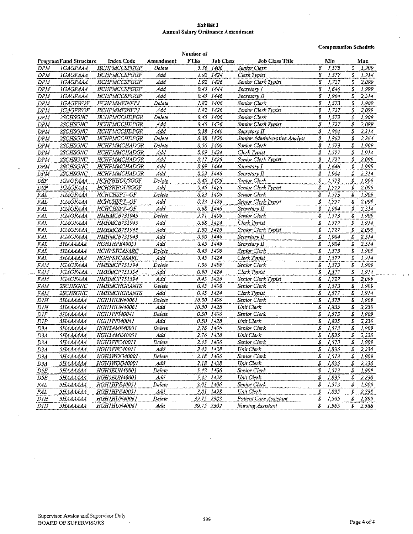#### Exhibit 1 Annual Salary Ordinance Amendment

Compensation Schedule

|             |                                             | Number of           |           |             |           |                               |    |           |                  |           |
|-------------|---------------------------------------------|---------------------|-----------|-------------|-----------|-------------------------------|----|-----------|------------------|-----------|
|             | <b>Program Fund Structure</b>               | <b>Index Code</b>   | Amendment | <b>FTEs</b> | Job Class | <b>Job Class Title</b>        |    | Min       |                  | Max       |
| <b>DPM</b>  | <b>IGAGFAAA</b>                             | HCHPMCCSPGGF        | Delete    |             | 3.36 1406 | Senior Clerk                  | \$ | 1,573     | £                | 1,909     |
| DPM         | <b>IGAGFAAA</b>                             | <b>HCHPMCCSPGGF</b> | Add       |             | 1,92 1424 | Clerk Typist                  | 3  | 1,577     | \$               | 1.914     |
| <b>DPM</b>  | <i><b>IGAGFAAA</b></i>                      | HCHPMCCSPGGF        | Add       |             | 1.92 1426 | Senior Clerk Typist           | \$ | 1,727     | S                | 2.099     |
| <b>DPM</b>  | <b>IGAGFAAA</b>                             | HCHPMCCSPGGF        | Add       |             | 0.45 1444 | Secretary I                   | \$ | 1,646     | s                | 1.999     |
| DPM         | <b>IGAGFAAA</b>                             | HCHPMCCSPGGF        | Add       |             | 0.45 1446 | Secretary II                  | \$ | 1,904     | \$               | 2.314     |
| <b>DPM</b>  | <i>IGAGFWOF</i>                             | HCHPMMFINFPJ        | Delete    |             | 1.82 1406 | <b>Senior Clerk</b>           | \$ | 1,573     | \$               | 1.909     |
| <b>DPM</b>  | <b>IGAGFWOF</b>                             | <b>HCHPMMFINFPJ</b> | Add       |             | 1.82 1426 | Senior Clerk Typist           | \$ | 1,727     | \$               | 2.099     |
| <b>DPM</b>  | 2SCHSGNC                                    | HCHPMCCHDPGR        | Delete    |             | 0.45 1406 | Senior Clerk                  | \$ | 1,573     | S                | 1.909     |
| DPM         | 2SCHSGNC                                    | HCHPMCCHDPGR        | Add       |             | 0.45 1426 | Senior Clerk Typist           | \$ | 1,727     | $\mathbb{S}$     | $2.099\,$ |
| DPM         | 2SCHSGNC                                    | HCHPMCCHDPGR        | Add       | 0.38        | 1446      | Secretary II                  | \$ | 1,904     | \$               | 2,314     |
| DPM         | <b>2SCHSGNC</b>                             | <b>HCHPMCCHDPGR</b> | Delete    |             | 0.38 1820 | Junior Administrative Analyst | \$ | 1,862     | \$               | 2,264     |
| DPM         | 2SCHSGNC                                    | HCHPMMCHADGR        | Delete    |             | 0.56 1406 | Senior Clerk                  | \$ | 1,573     | \$               | 1.909     |
| DPM         | 2SCHSGNC                                    | HCHPMMCHADGR        | Add       |             | 0.09 1424 | Clerk Typist                  | \$ | 1,577     | \$               | 1,914     |
| DPM         | 2SCHSGNC                                    | HCHPMMCHADGR        | Add       |             | 0.17 1426 | Senior Clerk Typist           | S  | 1,727     | S                | 2,099     |
| <b>DPM</b>  | 2SCHSGNC                                    | HCHPMMCHADGR        | Add       |             | 0.09 1444 | Secretary I                   | \$ | 1,646     | \$               | 1.999     |
| <b>DPM</b>  | <b>2SCHSGNC</b>                             | HCHPMMCHADGR        | Add       |             | 0.22 1446 | Secretary $\Pi$               | \$ | 1,904     | \$               | 2,314     |
| DSP         | <b>IGAGFAAA</b>                             | HCHSHHOUSGGF        | Delete    |             | 0.45 1406 | Senior Clerk                  | £  | 1,573     | s                | 1.909     |
| DSP         | <i><b>IGAGFAAA</b></i>                      | HCHSHHOUSGGF        | Add       | 0.45        | 1426      | Senior Clerk Typist           | \$ | 1,727     | \$               | 2.099     |
| FAL         | <b>IGAGFAAA</b>                             | HCHCHSPY-GF         | Delete    |             | 0.23 1406 | Senior Clerk                  | S  | 1,573     | \$               | 1.909     |
| FAL         | <b>IGAGFAAA</b>                             | HCHCHSPY-GF         | Add       | 0.23        | 1426      | Senior Clerk Typist           | \$ | 1,727     | \$               | 2.099     |
| ${\it FAL}$ | IGAGFAAA                                    | <b>HCHCHSPY-GF</b>  | Add       | 0.68        | 1446      | Secretary II                  | Ŝ  | 1,904     | \$               | 2314      |
| FAL         | <b>IGAGFAAA</b>                             | HMHMCB731943        | Delete    |             | 2.71 1406 | Senior Clerk                  | \$ | 1,573     | S                | 1.909     |
| FAL         | <b>IGAGFAAA</b>                             | HMHMCB731943        | Add       |             | 0.68 1424 | Clerk Typtst                  | \$ | 1,577     | \$               | 1914      |
| FAL.        | <b>IGAGFAAA</b>                             | HMHMCB731943        | Add       |             | 1.80 1426 | Senior Clerk Typist           | \$ | 1,727     | S                | 2.099     |
| <b>FAL</b>  | IGAGFAAA                                    | HMHMCB731943        | Add       |             | 0.90 1446 | Secretary II                  | \$ | 1,904     | s                | 2.314     |
| FAL         | <b>5НАААААА</b>                             | HGH1HPE40051        | Add       |             | 0.45 1446 | Secretary II                  | \$ | 1,904     | s                | 2.314     |
| FAL.        | <b><i><u><i><u>SHAAAAAA</u></i></u></i></b> | HGHPSYCASARC        | Delete    |             | 0.45 1406 | Senior Clerk                  | \$ | 1,573     | s                | 1,909     |
| FAL         | SHAAAAAA                                    | HGHPSYCASARC        | Add       |             | 0.45 1424 | Clerk Typist                  | \$ | 1,577     | Ŝ                | 1.914     |
| FAM         | <b>IGAGFAAA</b>                             | HMHMCP751594        | Delete    |             | 1.36 1406 | Senior Clerk                  | \$ | 1,573     | \$               | 1.909     |
| <b>FAM</b>  | IGAGFAAA                                    | HMHMCP751594        | Add       |             | 0.90 1424 | Clerk Typist                  | \$ | 1,577     | \$               | 1914      |
| FAM         | IGAGFAAA                                    | HMHMCP751594        | Add       |             | 0.45 1426 | Sentor Clerk Typist           | S  | 1,727     | S                | 2.099     |
| <b>FAM</b>  | 2SCHSGNC                                    | <b>HMHMCHGRANTS</b> | Delete    |             | 0.45 1406 | Senior Clerk                  | \$ | 1,573     | \$               | 1.909     |
| FAM         | 2SCHSGNC                                    | <b>HMHMCHGRANTS</b> | Add       |             | 0.45 1424 | Clerk Typist                  | \$ | $1,577$ . | s                | 1.914     |
| DIH         | <i><b><u> SHAAAAAA</u></b></i>              | HGH1HUN40061        | Delete    | 10.30 1406  |           | Senior Clerk                  | \$ | 1,573     | S                | 1909      |
| DIH         | SHAAAAAA                                    | HGH1HUN40061        | Add       | 10.30       | 1428      | Unit Clerk                    | \$ | 1,835     | \$               | 2,230     |
| DIP         | SHAAAAAA                                    | HGH1PF140041        | Delete    |             | 0.50 1406 | Senior Clerk                  | \$ | 1,573     | S                | 1909      |
| DIP         | SHAAAAAA                                    | HGH1PF140041        | Add       |             | 0.50 1428 | Unit Clerk                    | \$ | 1,835     | \$               | 2,230     |
| D3A         | 5HAAAAAA                                    | HGH3AME40001        | Delete    |             | 2,76 1406 | Senior Clerk                  | \$ | 1,573     | \$               | 1.909     |
| D3A         | SHAAAAAA                                    | <b>HGH3AME40001</b> | Add       |             | 2.76 1428 | <b>Unit Clerk</b>             | \$ | 1,835     | \$               | 2,230     |
| D3A         | <b><i><u><i><b>SHAAAAAA</b></i></u></i></b> | HGH3FFC40011        | Delete    |             | 2.43 1406 | Senior Clerk                  | \$ | 1,573     | \$               | 1.909     |
| D3A         | 5HAAAAAA                                    | HGH3FFC40011        | Add       |             | 2.43 1428 | Unit Clerk                    | \$ | 1.835     | S                | 2 2 3 0   |
| D3A         | <b><i><u> SHAAAAAA</u></i></b>              | HGH3WOG40001        | Delete    |             | 2.18 1406 | Sentor Clerk                  | \$ | 1,573     | $\mathfrak{s}_-$ | 1909      |
| D3A         | <b><i><u>SHAAAAAA</u></i></b>               | HGH3WOG40001        | Add       |             | 2.18 1428 | Unit Clerk                    | \$ | 1,835     | S                | 2,230     |
| DSE         | <b>5НАААААА</b>                             | <b>HGH5EUN40001</b> | Delete    |             | 5.42 1406 | Senior Clerk                  | \$ | 1,573     | g.               | 1,909     |
| DSE         | <b><i><u>SHAAAAAA</u></i></b>               | HGH5EUN40001        | Add       |             | 5.42 1428 | Unit Clerk                    | \$ | 1,835     | P.               | 2 230     |
| FAL         | <b><i><u> БНАААААА</u></i></b>              | HGHIHPE40051        | Delete    |             | 3.01 1406 | Senior Clerk                  | \$ | 1,573     | \$               | 1.909     |
| FAL         | SHAAAAAA                                    | HGHIHFE40051        | Add       |             | 3.01 1428 | Unit Clerk                    | 5  | 1,835     | \$               | 2 2 3 0   |
| DIH         | SHAAAAAA                                    | HGHIHUN40061        | Delete    | 39.75 2303  |           | Patient Care Assistant        | \$ | 1,565     | \$               | 1,899     |
| DIH         | <b><i><u><i><b>SHAAAAAA</b></i></u></i></b> | HGH1HUN40061        | Add       | 39,75 2302  |           | Nursing Assistant             | \$ | 1,965     | \$               | 2388      |

 $\mathcal{A}$ 

ł,

 $\sqrt{s} \sim \sqrt{s}$ 

 $\hat{z}$  and

وواردتها ليتبرأ والمتارة أيتم أماله